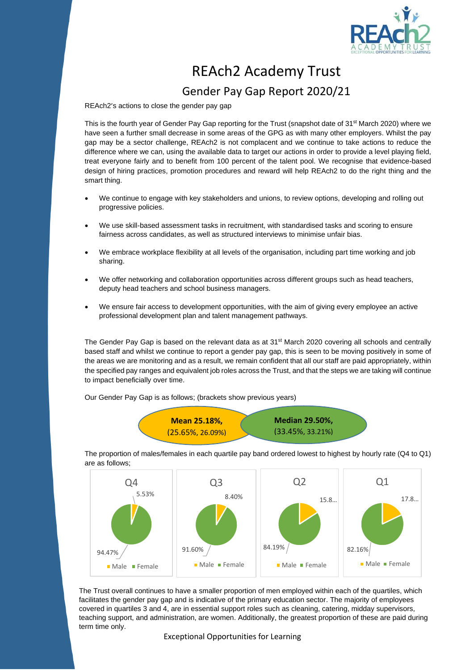

## REAch2 Academy Trust Gender Pay Gap Report 2020/21

REAch2's actions to close the gender pay gap

This is the fourth year of Gender Pay Gap reporting for the Trust (snapshot date of 31<sup>st</sup> March 2020) where we have seen a further small decrease in some areas of the GPG as with many other employers. Whilst the pay gap may be a sector challenge, REAch2 is not complacent and we continue to take actions to reduce the difference where we can, using the available data to target our actions in order to provide a level playing field, treat everyone fairly and to benefit from 100 percent of the talent pool. We recognise that evidence-based design of hiring practices, promotion procedures and reward will help REAch2 to do the right thing and the smart thing.

- We continue to engage with key stakeholders and unions, to review options, developing and rolling out progressive policies.
- We use skill-based assessment tasks in recruitment, with standardised tasks and scoring to ensure fairness across candidates, as well as structured interviews to minimise unfair bias.
- We embrace workplace flexibility at all levels of the organisation, including part time working and job sharing.
- We offer networking and collaboration opportunities across different groups such as head teachers, deputy head teachers and school business managers.
- We ensure fair access to development opportunities, with the aim of giving every employee an active professional development plan and talent management pathways.

The Gender Pay Gap is based on the relevant data as at 31<sup>st</sup> March 2020 covering all schools and centrally based staff and whilst we continue to report a gender pay gap, this is seen to be moving positively in some of the areas we are monitoring and as a result, we remain confident that all our staff are paid appropriately, within the specified pay ranges and equivalent job roles across the Trust, and that the steps we are taking will continue to impact beneficially over time.

Our Gender Pay Gap is as follows; (brackets show previous years)



The proportion of males/females in each quartile pay band ordered lowest to highest by hourly rate (Q4 to Q1) are as follows;



The Trust overall continues to have a smaller proportion of men employed within each of the quartiles, which facilitates the gender pay gap and is indicative of the primary education sector. The majority of employees covered in quartiles 3 and 4, are in essential support roles such as cleaning, catering, midday supervisors, teaching support, and administration, are women. Additionally, the greatest proportion of these are paid during term time only.

Exceptional Opportunities for Learning